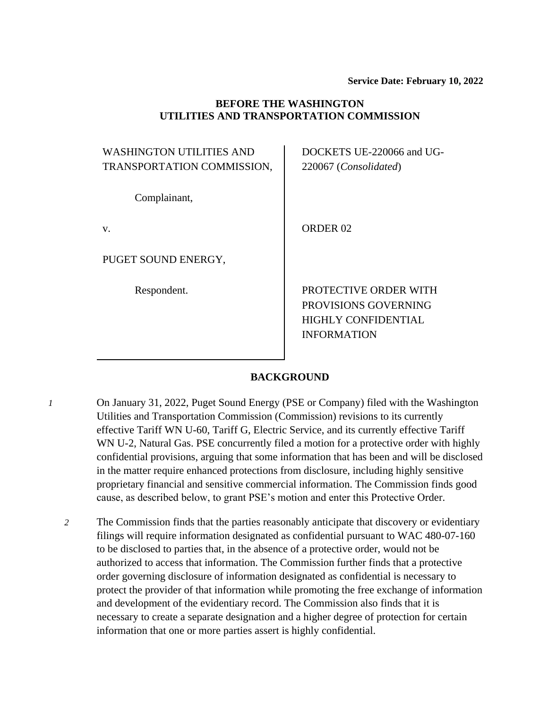### **BEFORE THE WASHINGTON UTILITIES AND TRANSPORTATION COMMISSION**

| <b>WASHINGTON UTILITIES AND</b><br>TRANSPORTATION COMMISSION, | DOCKETS UE-220066 and UG-<br>220067 (Consolidated)                                                |
|---------------------------------------------------------------|---------------------------------------------------------------------------------------------------|
| Complainant,                                                  |                                                                                                   |
| V.                                                            | ORDER <sub>02</sub>                                                                               |
| PUGET SOUND ENERGY,                                           |                                                                                                   |
| Respondent.                                                   | PROTECTIVE ORDER WITH<br>PROVISIONS GOVERNING<br><b>HIGHLY CONFIDENTIAL</b><br><b>INFORMATION</b> |

### **BACKGROUND**

- *1* On January 31, 2022, Puget Sound Energy (PSE or Company) filed with the Washington Utilities and Transportation Commission (Commission) revisions to its currently effective Tariff WN U-60, Tariff G, Electric Service, and its currently effective Tariff WN U-2, Natural Gas. PSE concurrently filed a motion for a protective order with highly confidential provisions, arguing that some information that has been and will be disclosed in the matter require enhanced protections from disclosure, including highly sensitive proprietary financial and sensitive commercial information. The Commission finds good cause, as described below, to grant PSE's motion and enter this Protective Order.
	- *2* The Commission finds that the parties reasonably anticipate that discovery or evidentiary filings will require information designated as confidential pursuant to WAC 480-07-160 to be disclosed to parties that, in the absence of a protective order, would not be authorized to access that information. The Commission further finds that a protective order governing disclosure of information designated as confidential is necessary to protect the provider of that information while promoting the free exchange of information and development of the evidentiary record. The Commission also finds that it is necessary to create a separate designation and a higher degree of protection for certain information that one or more parties assert is highly confidential.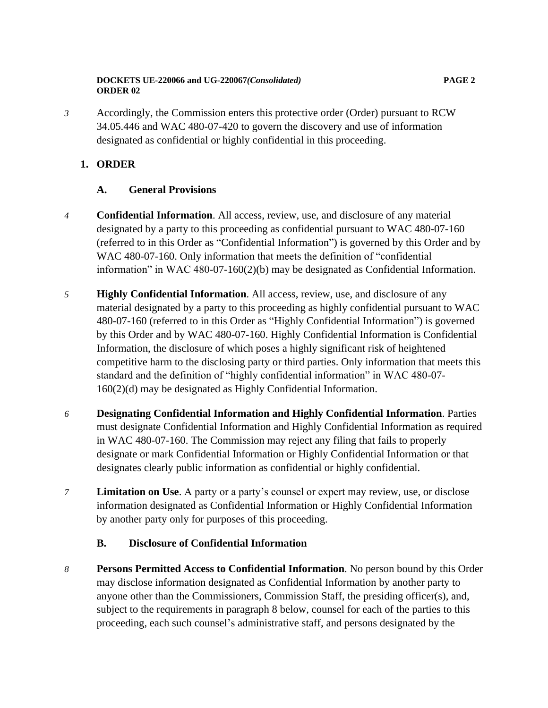### **DOCKETS UE-220066 and UG-220067***(Consolidated)* **PAGE 2 ORDER 02**

*3* Accordingly, the Commission enters this protective order (Order) pursuant to RCW 34.05.446 and WAC 480-07-420 to govern the discovery and use of information designated as confidential or highly confidential in this proceeding.

# **1. ORDER**

# **A. General Provisions**

- *4* **Confidential Information**. All access, review, use, and disclosure of any material designated by a party to this proceeding as confidential pursuant to WAC 480-07-160 (referred to in this Order as "Confidential Information") is governed by this Order and by WAC 480-07-160. Only information that meets the definition of "confidential information" in WAC 480-07-160(2)(b) may be designated as Confidential Information.
- *5* **Highly Confidential Information**. All access, review, use, and disclosure of any material designated by a party to this proceeding as highly confidential pursuant to WAC 480-07-160 (referred to in this Order as "Highly Confidential Information") is governed by this Order and by WAC 480-07-160. Highly Confidential Information is Confidential Information, the disclosure of which poses a highly significant risk of heightened competitive harm to the disclosing party or third parties. Only information that meets this standard and the definition of "highly confidential information" in WAC 480-07- 160(2)(d) may be designated as Highly Confidential Information.
- *6* **Designating Confidential Information and Highly Confidential Information**. Parties must designate Confidential Information and Highly Confidential Information as required in WAC 480-07-160. The Commission may reject any filing that fails to properly designate or mark Confidential Information or Highly Confidential Information or that designates clearly public information as confidential or highly confidential.
- *7* **Limitation on Use**. A party or a party's counsel or expert may review, use, or disclose information designated as Confidential Information or Highly Confidential Information by another party only for purposes of this proceeding.
	- **B. Disclosure of Confidential Information**
- *8* **Persons Permitted Access to Confidential Information**. No person bound by this Order may disclose information designated as Confidential Information by another party to anyone other than the Commissioners, Commission Staff, the presiding officer(s), and, subject to the requirements in paragraph 8 below, counsel for each of the parties to this proceeding, each such counsel's administrative staff, and persons designated by the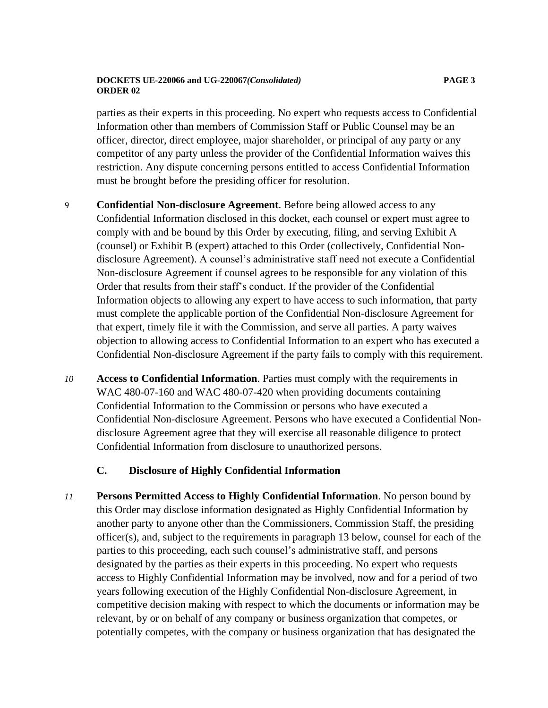### **DOCKETS UE-220066 and UG-220067***(Consolidated)* **PAGE 3 ORDER 02**

parties as their experts in this proceeding. No expert who requests access to Confidential Information other than members of Commission Staff or Public Counsel may be an officer, director, direct employee, major shareholder, or principal of any party or any competitor of any party unless the provider of the Confidential Information waives this restriction. Any dispute concerning persons entitled to access Confidential Information must be brought before the presiding officer for resolution.

- *9* **Confidential Non-disclosure Agreement**. Before being allowed access to any Confidential Information disclosed in this docket, each counsel or expert must agree to comply with and be bound by this Order by executing, filing, and serving Exhibit A (counsel) or Exhibit B (expert) attached to this Order (collectively, Confidential Nondisclosure Agreement). A counsel's administrative staff need not execute a Confidential Non-disclosure Agreement if counsel agrees to be responsible for any violation of this Order that results from their staff's conduct. If the provider of the Confidential Information objects to allowing any expert to have access to such information, that party must complete the applicable portion of the Confidential Non-disclosure Agreement for that expert, timely file it with the Commission, and serve all parties. A party waives objection to allowing access to Confidential Information to an expert who has executed a Confidential Non-disclosure Agreement if the party fails to comply with this requirement.
- *10* **Access to Confidential Information**. Parties must comply with the requirements in WAC 480-07-160 and WAC 480-07-420 when providing documents containing Confidential Information to the Commission or persons who have executed a Confidential Non-disclosure Agreement. Persons who have executed a Confidential Nondisclosure Agreement agree that they will exercise all reasonable diligence to protect Confidential Information from disclosure to unauthorized persons.

### **C. Disclosure of Highly Confidential Information**

*11* **Persons Permitted Access to Highly Confidential Information**. No person bound by this Order may disclose information designated as Highly Confidential Information by another party to anyone other than the Commissioners, Commission Staff, the presiding officer(s), and, subject to the requirements in paragraph 13 below, counsel for each of the parties to this proceeding, each such counsel's administrative staff, and persons designated by the parties as their experts in this proceeding. No expert who requests access to Highly Confidential Information may be involved, now and for a period of two years following execution of the Highly Confidential Non-disclosure Agreement, in competitive decision making with respect to which the documents or information may be relevant, by or on behalf of any company or business organization that competes, or potentially competes, with the company or business organization that has designated the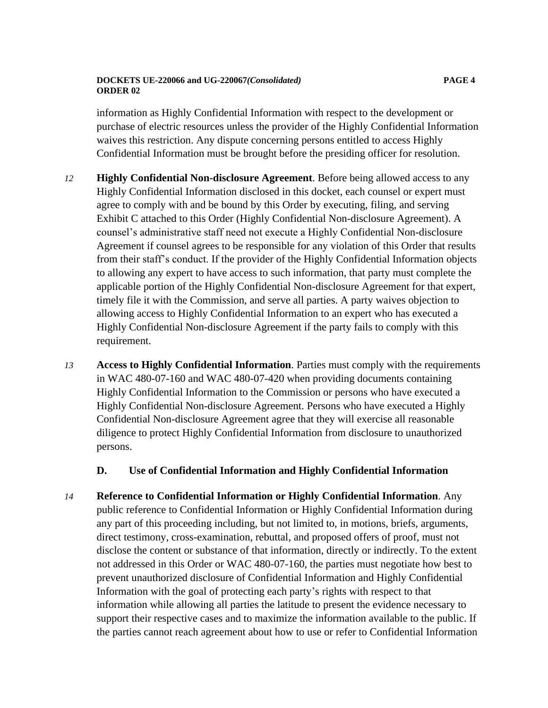### **DOCKETS UE-220066 and UG-220067***(Consolidated)* **PAGE 4 ORDER 02**

information as Highly Confidential Information with respect to the development or purchase of electric resources unless the provider of the Highly Confidential Information waives this restriction. Any dispute concerning persons entitled to access Highly Confidential Information must be brought before the presiding officer for resolution.

- *12* **Highly Confidential Non-disclosure Agreement**. Before being allowed access to any Highly Confidential Information disclosed in this docket, each counsel or expert must agree to comply with and be bound by this Order by executing, filing, and serving Exhibit C attached to this Order (Highly Confidential Non-disclosure Agreement). A counsel's administrative staff need not execute a Highly Confidential Non-disclosure Agreement if counsel agrees to be responsible for any violation of this Order that results from their staff's conduct. If the provider of the Highly Confidential Information objects to allowing any expert to have access to such information, that party must complete the applicable portion of the Highly Confidential Non-disclosure Agreement for that expert, timely file it with the Commission, and serve all parties. A party waives objection to allowing access to Highly Confidential Information to an expert who has executed a Highly Confidential Non-disclosure Agreement if the party fails to comply with this requirement.
- *13* **Access to Highly Confidential Information**. Parties must comply with the requirements in WAC 480-07-160 and WAC 480-07-420 when providing documents containing Highly Confidential Information to the Commission or persons who have executed a Highly Confidential Non-disclosure Agreement. Persons who have executed a Highly Confidential Non-disclosure Agreement agree that they will exercise all reasonable diligence to protect Highly Confidential Information from disclosure to unauthorized persons.

### **D. Use of Confidential Information and Highly Confidential Information**

*14* **Reference to Confidential Information or Highly Confidential Information**. Any public reference to Confidential Information or Highly Confidential Information during any part of this proceeding including, but not limited to, in motions, briefs, arguments, direct testimony, cross-examination, rebuttal, and proposed offers of proof, must not disclose the content or substance of that information, directly or indirectly. To the extent not addressed in this Order or WAC 480-07-160, the parties must negotiate how best to prevent unauthorized disclosure of Confidential Information and Highly Confidential Information with the goal of protecting each party's rights with respect to that information while allowing all parties the latitude to present the evidence necessary to support their respective cases and to maximize the information available to the public. If the parties cannot reach agreement about how to use or refer to Confidential Information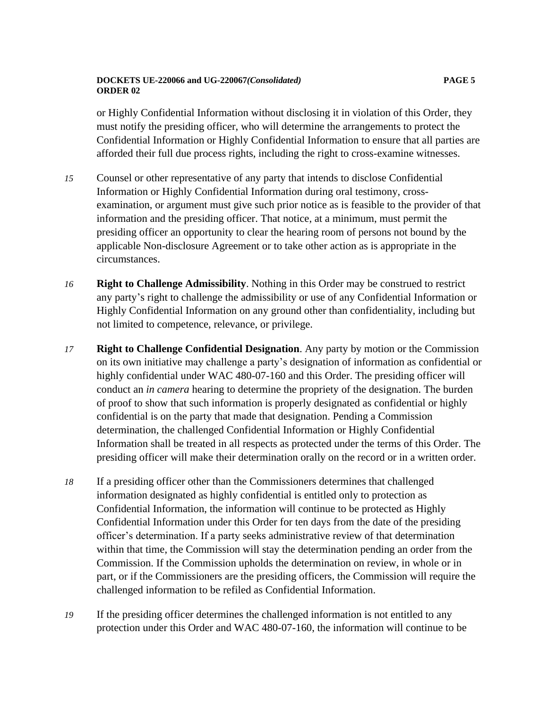### **DOCKETS UE-220066 and UG-220067***(Consolidated)* **PAGE 5 ORDER 02**

or Highly Confidential Information without disclosing it in violation of this Order, they must notify the presiding officer, who will determine the arrangements to protect the Confidential Information or Highly Confidential Information to ensure that all parties are afforded their full due process rights, including the right to cross-examine witnesses.

- *15* Counsel or other representative of any party that intends to disclose Confidential Information or Highly Confidential Information during oral testimony, crossexamination, or argument must give such prior notice as is feasible to the provider of that information and the presiding officer. That notice, at a minimum, must permit the presiding officer an opportunity to clear the hearing room of persons not bound by the applicable Non-disclosure Agreement or to take other action as is appropriate in the circumstances.
- *16* **Right to Challenge Admissibility**. Nothing in this Order may be construed to restrict any party's right to challenge the admissibility or use of any Confidential Information or Highly Confidential Information on any ground other than confidentiality, including but not limited to competence, relevance, or privilege.
- *17* **Right to Challenge Confidential Designation**. Any party by motion or the Commission on its own initiative may challenge a party's designation of information as confidential or highly confidential under WAC 480-07-160 and this Order. The presiding officer will conduct an *in camera* hearing to determine the propriety of the designation. The burden of proof to show that such information is properly designated as confidential or highly confidential is on the party that made that designation. Pending a Commission determination, the challenged Confidential Information or Highly Confidential Information shall be treated in all respects as protected under the terms of this Order. The presiding officer will make their determination orally on the record or in a written order.
- *18* If a presiding officer other than the Commissioners determines that challenged information designated as highly confidential is entitled only to protection as Confidential Information, the information will continue to be protected as Highly Confidential Information under this Order for ten days from the date of the presiding officer's determination. If a party seeks administrative review of that determination within that time, the Commission will stay the determination pending an order from the Commission. If the Commission upholds the determination on review, in whole or in part, or if the Commissioners are the presiding officers, the Commission will require the challenged information to be refiled as Confidential Information.
- *19* If the presiding officer determines the challenged information is not entitled to any protection under this Order and WAC 480-07-160, the information will continue to be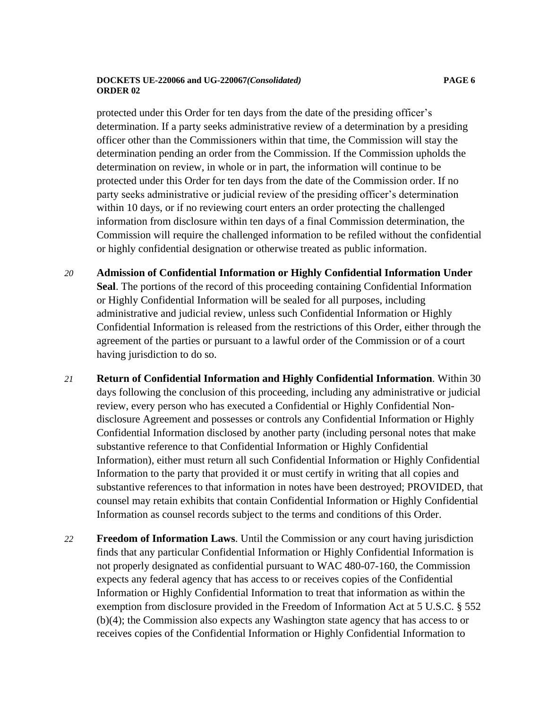#### **DOCKETS UE-220066 and UG-220067***(Consolidated)* **PAGE 6 ORDER 02**

protected under this Order for ten days from the date of the presiding officer's determination. If a party seeks administrative review of a determination by a presiding officer other than the Commissioners within that time, the Commission will stay the determination pending an order from the Commission. If the Commission upholds the determination on review, in whole or in part, the information will continue to be protected under this Order for ten days from the date of the Commission order. If no party seeks administrative or judicial review of the presiding officer's determination within 10 days, or if no reviewing court enters an order protecting the challenged information from disclosure within ten days of a final Commission determination, the Commission will require the challenged information to be refiled without the confidential or highly confidential designation or otherwise treated as public information.

- *20* **Admission of Confidential Information or Highly Confidential Information Under Seal**. The portions of the record of this proceeding containing Confidential Information or Highly Confidential Information will be sealed for all purposes, including administrative and judicial review, unless such Confidential Information or Highly Confidential Information is released from the restrictions of this Order, either through the agreement of the parties or pursuant to a lawful order of the Commission or of a court having jurisdiction to do so.
- *21* **Return of Confidential Information and Highly Confidential Information**. Within 30 days following the conclusion of this proceeding, including any administrative or judicial review, every person who has executed a Confidential or Highly Confidential Nondisclosure Agreement and possesses or controls any Confidential Information or Highly Confidential Information disclosed by another party (including personal notes that make substantive reference to that Confidential Information or Highly Confidential Information), either must return all such Confidential Information or Highly Confidential Information to the party that provided it or must certify in writing that all copies and substantive references to that information in notes have been destroyed; PROVIDED, that counsel may retain exhibits that contain Confidential Information or Highly Confidential Information as counsel records subject to the terms and conditions of this Order.
- *22* **Freedom of Information Laws**. Until the Commission or any court having jurisdiction finds that any particular Confidential Information or Highly Confidential Information is not properly designated as confidential pursuant to WAC 480-07-160, the Commission expects any federal agency that has access to or receives copies of the Confidential Information or Highly Confidential Information to treat that information as within the exemption from disclosure provided in the Freedom of Information Act at 5 U.S.C. § 552 (b)(4); the Commission also expects any Washington state agency that has access to or receives copies of the Confidential Information or Highly Confidential Information to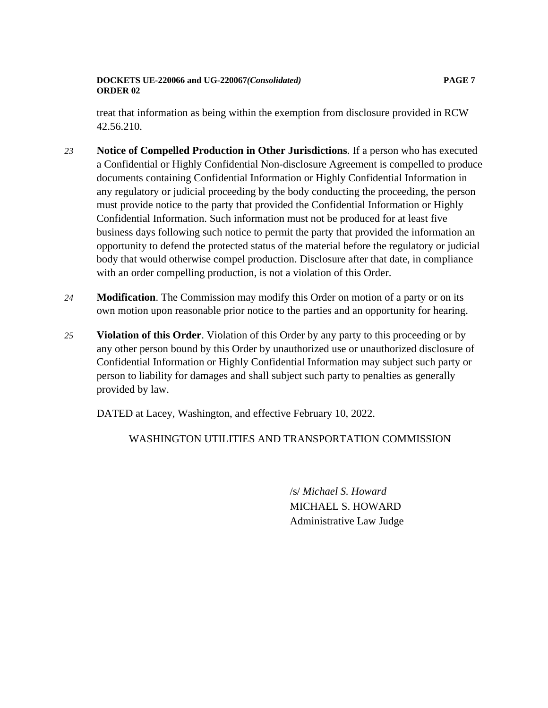### **DOCKETS UE-220066 and UG-220067***(Consolidated)* **PAGE 7 ORDER 02**

treat that information as being within the exemption from disclosure provided in RCW 42.56.210.

- *23* **Notice of Compelled Production in Other Jurisdictions**. If a person who has executed a Confidential or Highly Confidential Non-disclosure Agreement is compelled to produce documents containing Confidential Information or Highly Confidential Information in any regulatory or judicial proceeding by the body conducting the proceeding, the person must provide notice to the party that provided the Confidential Information or Highly Confidential Information. Such information must not be produced for at least five business days following such notice to permit the party that provided the information an opportunity to defend the protected status of the material before the regulatory or judicial body that would otherwise compel production. Disclosure after that date, in compliance with an order compelling production, is not a violation of this Order.
- *24* **Modification**. The Commission may modify this Order on motion of a party or on its own motion upon reasonable prior notice to the parties and an opportunity for hearing.
- *25* **Violation of this Order**. Violation of this Order by any party to this proceeding or by any other person bound by this Order by unauthorized use or unauthorized disclosure of Confidential Information or Highly Confidential Information may subject such party or person to liability for damages and shall subject such party to penalties as generally provided by law.

DATED at Lacey, Washington, and effective February 10, 2022.

# WASHINGTON UTILITIES AND TRANSPORTATION COMMISSION

/s/ *Michael S. Howard* MICHAEL S. HOWARD Administrative Law Judge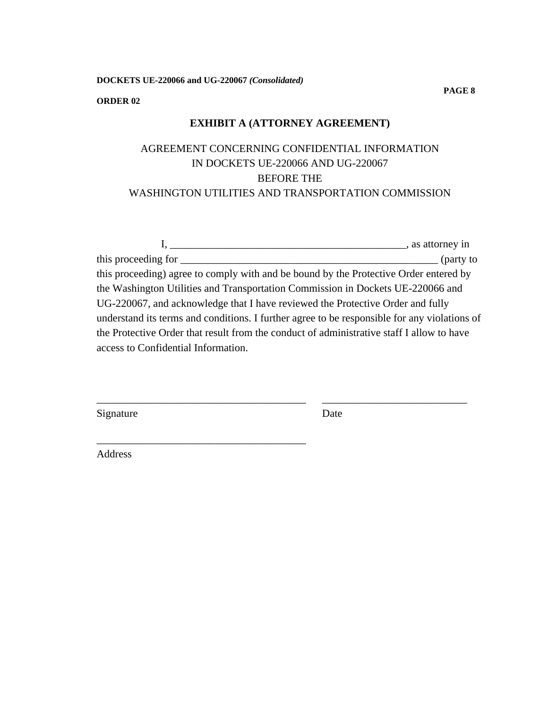**DOCKETS UE-220066 and UG-220067** *(Consolidated)*

\_\_\_\_\_\_\_\_\_\_\_\_\_\_\_\_\_\_\_\_\_\_\_\_\_\_\_\_\_\_\_\_\_\_\_\_\_\_\_

#### **ORDER 02**

## **EXHIBIT A (ATTORNEY AGREEMENT)**

# AGREEMENT CONCERNING CONFIDENTIAL INFORMATION IN DOCKETS UE-220066 AND UG-220067 BEFORE THE WASHINGTON UTILITIES AND TRANSPORTATION COMMISSION

|                                                                                              | sales, as attorney in |
|----------------------------------------------------------------------------------------------|-----------------------|
| this proceeding for                                                                          | $\int$ (party to      |
| this proceeding) agree to comply with and be bound by the Protective Order entered by        |                       |
| the Washington Utilities and Transportation Commission in Dockets UE-220066 and              |                       |
| UG-220067, and acknowledge that I have reviewed the Protective Order and fully               |                       |
| understand its terms and conditions. I further agree to be responsible for any violations of |                       |
| the Protective Order that result from the conduct of administrative staff I allow to have    |                       |
| access to Confidential Information.                                                          |                       |
|                                                                                              |                       |

\_\_\_\_\_\_\_\_\_\_\_\_\_\_\_\_\_\_\_\_\_\_\_\_\_\_\_\_\_\_\_\_\_\_\_\_\_\_\_ \_\_\_\_\_\_\_\_\_\_\_\_\_\_\_\_\_\_\_\_\_\_\_\_\_\_\_

Signature Date

Address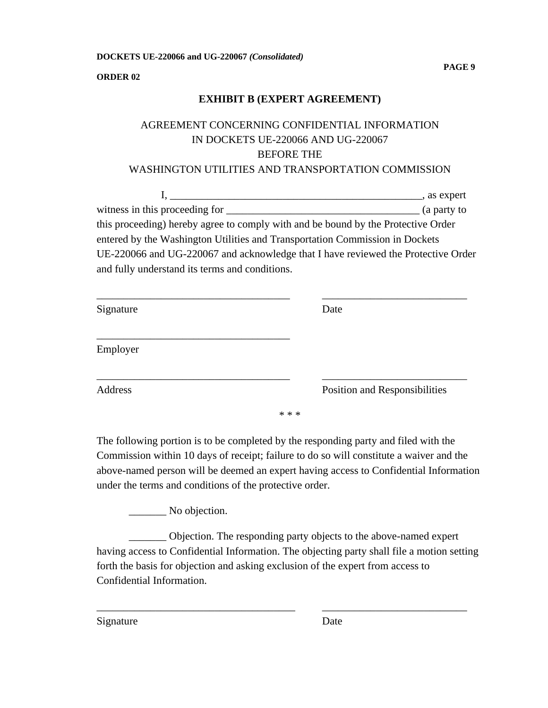**ORDER 02**

## **EXHIBIT B (EXPERT AGREEMENT)**

# AGREEMENT CONCERNING CONFIDENTIAL INFORMATION IN DOCKETS UE-220066 AND UG-220067 BEFORE THE

## WASHINGTON UTILITIES AND TRANSPORTATION COMMISSION

I, \_\_\_\_\_\_\_\_\_\_\_\_\_\_\_\_\_\_\_\_\_\_\_\_\_\_\_\_\_\_\_\_\_\_\_\_\_\_\_\_\_\_\_\_\_\_\_, as expert witness in this proceeding for \_\_\_\_\_\_\_\_\_\_\_\_\_\_\_\_\_\_\_\_\_\_\_\_\_\_\_\_\_\_\_\_\_\_\_\_ (a party to this proceeding) hereby agree to comply with and be bound by the Protective Order entered by the Washington Utilities and Transportation Commission in Dockets UE-220066 and UG-220067 and acknowledge that I have reviewed the Protective Order and fully understand its terms and conditions.

| Signature |       | Date                          |
|-----------|-------|-------------------------------|
| Employer  |       |                               |
| Address   |       | Position and Responsibilities |
|           | * * * |                               |

The following portion is to be completed by the responding party and filed with the Commission within 10 days of receipt; failure to do so will constitute a waiver and the above-named person will be deemed an expert having access to Confidential Information under the terms and conditions of the protective order.

\_\_\_\_\_\_\_ No objection.

\_\_\_\_\_\_\_ Objection. The responding party objects to the above-named expert having access to Confidential Information. The objecting party shall file a motion setting forth the basis for objection and asking exclusion of the expert from access to Confidential Information.

\_\_\_\_\_\_\_\_\_\_\_\_\_\_\_\_\_\_\_\_\_\_\_\_\_\_\_\_\_\_\_\_\_\_\_\_\_ \_\_\_\_\_\_\_\_\_\_\_\_\_\_\_\_\_\_\_\_\_\_\_\_\_\_\_

Signature Date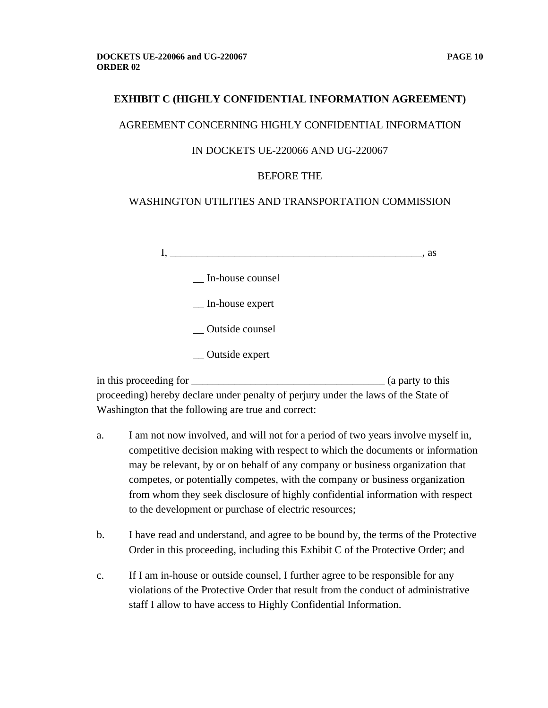### AGREEMENT CONCERNING HIGHLY CONFIDENTIAL INFORMATION

### IN DOCKETS UE-220066 AND UG-220067

## BEFORE THE

## WASHINGTON UTILITIES AND TRANSPORTATION COMMISSION

|          |                       | . as |
|----------|-----------------------|------|
|          | In-house counsel      |      |
|          | _ In-house expert     |      |
|          | Outside counsel       |      |
|          | $\_\_$ Outside expert |      |
| $\cdots$ |                       | . .  |

in this proceeding for \_\_\_\_\_\_\_\_\_\_\_\_\_\_\_\_\_\_\_\_\_\_\_\_\_\_\_\_\_\_\_\_\_\_\_\_ (a party to this proceeding) hereby declare under penalty of perjury under the laws of the State of Washington that the following are true and correct:

- a. I am not now involved, and will not for a period of two years involve myself in, competitive decision making with respect to which the documents or information may be relevant, by or on behalf of any company or business organization that competes, or potentially competes, with the company or business organization from whom they seek disclosure of highly confidential information with respect to the development or purchase of electric resources;
- b. I have read and understand, and agree to be bound by, the terms of the Protective Order in this proceeding, including this Exhibit C of the Protective Order; and
- c. If I am in-house or outside counsel, I further agree to be responsible for any violations of the Protective Order that result from the conduct of administrative staff I allow to have access to Highly Confidential Information.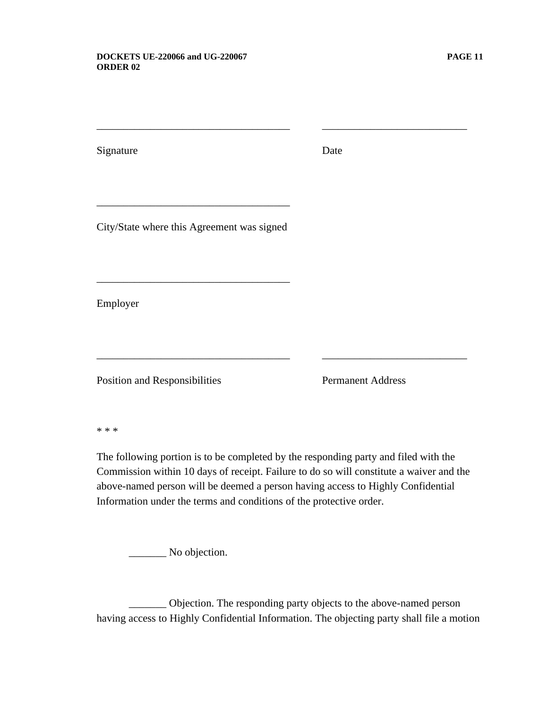Signature Date

\_\_\_\_\_\_\_\_\_\_\_\_\_\_\_\_\_\_\_\_\_\_\_\_\_\_\_\_\_\_\_\_\_\_\_\_ \_\_\_\_\_\_\_\_\_\_\_\_\_\_\_\_\_\_\_\_\_\_\_\_\_\_\_

City/State where this Agreement was signed

\_\_\_\_\_\_\_\_\_\_\_\_\_\_\_\_\_\_\_\_\_\_\_\_\_\_\_\_\_\_\_\_\_\_\_\_

\_\_\_\_\_\_\_\_\_\_\_\_\_\_\_\_\_\_\_\_\_\_\_\_\_\_\_\_\_\_\_\_\_\_\_\_

Employer

Position and Responsibilities Permanent Address

\* \* \*

The following portion is to be completed by the responding party and filed with the Commission within 10 days of receipt. Failure to do so will constitute a waiver and the above-named person will be deemed a person having access to Highly Confidential Information under the terms and conditions of the protective order.

\_\_\_\_\_\_\_\_\_\_\_\_\_\_\_\_\_\_\_\_\_\_\_\_\_\_\_\_\_\_\_\_\_\_\_\_ \_\_\_\_\_\_\_\_\_\_\_\_\_\_\_\_\_\_\_\_\_\_\_\_\_\_\_

\_\_\_\_\_\_\_ No objection.

\_\_\_\_\_\_\_ Objection. The responding party objects to the above-named person having access to Highly Confidential Information. The objecting party shall file a motion